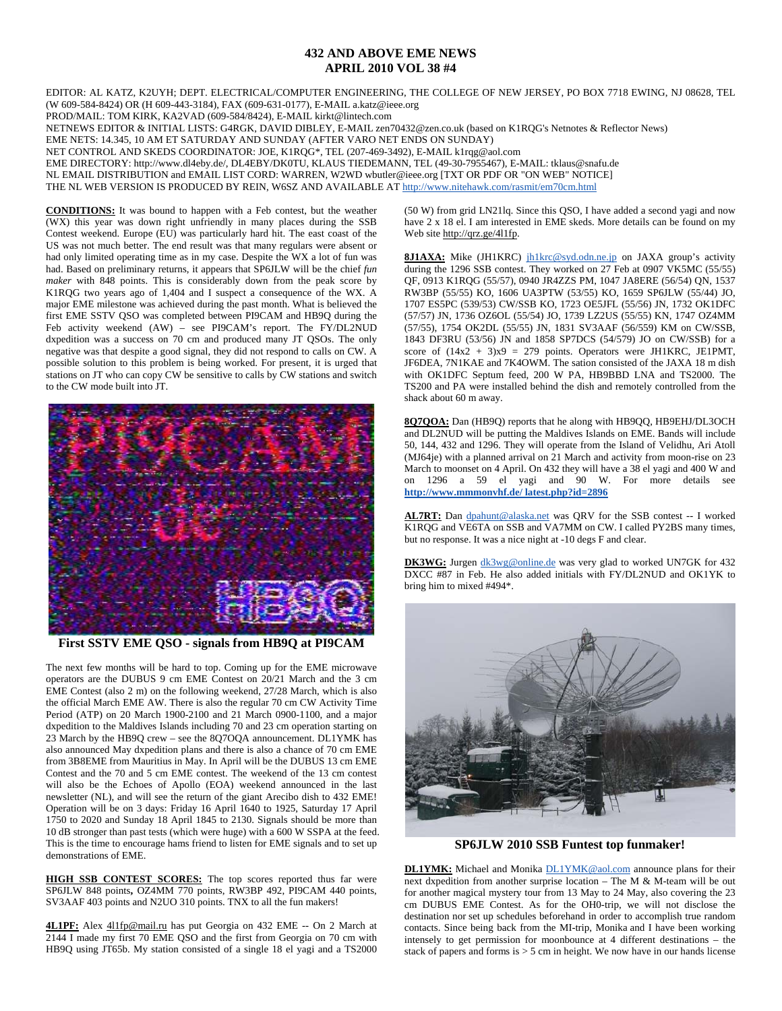## **432 AND ABOVE EME NEWS APRIL 2010 VOL 38 #4**

EDITOR: AL KATZ, K2UYH; DEPT. ELECTRICAL/COMPUTER ENGINEERING, THE COLLEGE OF NEW JERSEY, PO BOX 7718 EWING, NJ 08628, TEL (W 609-584-8424) OR (H 609-443-3184), FAX (609-631-0177), E-MAIL a.katz@ieee.org

PROD/MAIL: TOM KIRK, KA2VAD (609-584/8424), E-MAIL kirkt@lintech.com

NETNEWS EDITOR & INITIAL LISTS: G4RGK, DAVID DIBLEY, E-MAIL zen70432@zen.co.uk (based on K1RQG's Netnotes & Reflector News)

EME NETS: 14.345, 10 AM ET SATURDAY AND SUNDAY (AFTER VARO NET ENDS ON SUNDAY)

NET CONTROL AND SKEDS COORDINATOR: JOE, K1RQG\*, TEL (207-469-3492), E-MAIL k1rqg@aol.com

EME DIRECTORY: http://www.dl4eby.de/, DL4EBY/DK0TU, KLAUS TIEDEMANN, TEL (49-30-7955467), E-MAIL: tklaus@snafu.de

NL EMAIL DISTRIBUTION and EMAIL LIST CORD: WARREN, W2WD wbutler@ieee.org [TXT OR PDF OR "ON WEB" NOTICE]

THE NL WEB VERSION IS PRODUCED BY REIN, W6SZ AND AVAILABLE AT http://www.nitehawk.com/rasmit/em70cm.html

**CONDITIONS:** It was bound to happen with a Feb contest, but the weather (WX) this year was down right unfriendly in many places during the SSB Contest weekend. Europe (EU) was particularly hard hit. The east coast of the US was not much better. The end result was that many regulars were absent or had only limited operating time as in my case. Despite the WX a lot of fun was had. Based on preliminary returns, it appears that SP6JLW will be the chief *fun maker* with 848 points. This is considerably down from the peak score by K1RQG two years ago of 1,404 and I suspect a consequence of the WX. A major EME milestone was achieved during the past month. What is believed the first EME SSTV QSO was completed between PI9CAM and HB9Q during the Feb activity weekend (AW) – see PI9CAM's report. The FY/DL2NUD dxpedition was a success on 70 cm and produced many JT QSOs. The only negative was that despite a good signal, they did not respond to calls on CW. A possible solution to this problem is being worked. For present, it is urged that stations on JT who can copy CW be sensitive to calls by CW stations and switch to the CW mode built into JT.



**First SSTV EME QSO - signals from HB9Q at PI9CAM** 

The next few months will be hard to top. Coming up for the EME microwave operators are the DUBUS 9 cm EME Contest on 20/21 March and the 3 cm EME Contest (also 2 m) on the following weekend, 27/28 March, which is also the official March EME AW. There is also the regular 70 cm CW Activity Time Period (ATP) on 20 March 1900-2100 and 21 March 0900-1100, and a major dxpedition to the Maldives Islands including 70 and 23 cm operation starting on 23 March by the HB9Q crew – see the 8Q7OQA announcement. DL1YMK has also announced May dxpedition plans and there is also a chance of 70 cm EME from 3B8EME from Mauritius in May. In April will be the DUBUS 13 cm EME Contest and the 70 and 5 cm EME contest. The weekend of the 13 cm contest will also be the Echoes of Apollo (EOA) weekend announced in the last newsletter (NL), and will see the return of the giant Arecibo dish to 432 EME! Operation will be on 3 days: Friday 16 April 1640 to 1925, Saturday 17 April 1750 to 2020 and Sunday 18 April 1845 to 2130. Signals should be more than 10 dB stronger than past tests (which were huge) with a 600 W SSPA at the feed. This is the time to encourage hams friend to listen for EME signals and to set up demonstrations of EME.

**HIGH SSB CONTEST SCORES:** The top scores reported thus far were SP6JLW 848 points**,** OZ4MM 770 points, RW3BP 492, PI9CAM 440 points, SV3AAF 403 points and N2UO 310 points. TNX to all the fun makers!

4L1PF: Alex 411fp@mail.ru has put Georgia on 432 EME -- On 2 March at 2144 I made my first 70 EME QSO and the first from Georgia on 70 cm with HB9Q using JT65b. My station consisted of a single 18 el yagi and a TS2000 (50 W) from grid LN21lq. Since this QSO, I have added a second yagi and now have 2 x 18 el. I am interested in EME skeds. More details can be found on my Web site http://qrz.ge/4l1fp.

8J1AXA: Mike (JH1KRC) jh1krc@syd.odn.ne.jp on JAXA group's activity during the 1296 SSB contest. They worked on 27 Feb at 0907 VK5MC (55/55) QF, 0913 K1RQG (55/57), 0940 JR4ZZS PM, 1047 JA8ERE (56/54) QN, 1537 RW3BP (55/55) KO, 1606 UA3PTW (53/55) KO, 1659 SP6JLW (55/44) JO, 1707 ES5PC (539/53) CW/SSB KO, 1723 OE5JFL (55/56) JN, 1732 OK1DFC (57/57) JN, 1736 OZ6OL (55/54) JO, 1739 LZ2US (55/55) KN, 1747 OZ4MM (57/55), 1754 OK2DL (55/55) JN, 1831 SV3AAF (56/559) KM on CW/SSB, 1843 DF3RU (53/56) JN and 1858 SP7DCS (54/579) JO on CW/SSB) for a score of  $(14x2 + 3)x9 = 279$  points. Operators were JH1KRC, JE1PMT, JF6DEA, 7N1KAE and 7K4OWM. The sation consisted of the JAXA 18 m dish with OK1DFC Septum feed, 200 W PA, HB9BBD LNA and TS2000. The TS200 and PA were installed behind the dish and remotely controlled from the shack about 60 m away.

**8Q7QOA:** Dan (HB9Q) reports that he along with HB9QQ, HB9EHJ/DL3OCH and DL2NUD will be putting the Maldives Islands on EME. Bands will include 50, 144, 432 and 1296. They will operate from the Island of Velidhu, Ari Atoll (MJ64je) with a planned arrival on 21 March and activity from moon-rise on 23 March to moonset on 4 April. On 432 they will have a 38 el yagi and 400 W and on 1296 a 59 el yagi and 90 W. For more details see **http://www.mmmonvhf.de/ latest.php?id=2896**

**AL7RT:** Dan dpahunt@alaska.net was QRV for the SSB contest -- I worked K1RQG and VE6TA on SSB and VA7MM on CW. I called PY2BS many times, but no response. It was a nice night at -10 degs F and clear.

DK3WG: Jurgen dk3wg@online.de was very glad to worked UN7GK for 432 DXCC #87 in Feb. He also added initials with FY/DL2NUD and OK1YK to bring him to mixed #494\*.



**SP6JLW 2010 SSB Funtest top funmaker!** 

**DL1YMK:** Michael and Monika **DL1YMK@aol.com** announce plans for their next dxpedition from another surprise location – The M & M-team will be out for another magical mystery tour from 13 May to 24 May, also covering the 23 cm DUBUS EME Contest. As for the OH0-trip, we will not disclose the destination nor set up schedules beforehand in order to accomplish true random contacts. Since being back from the MI-trip, Monika and I have been working intensely to get permission for moonbounce at 4 different destinations – the stack of papers and forms is  $> 5$  cm in height. We now have in our hands license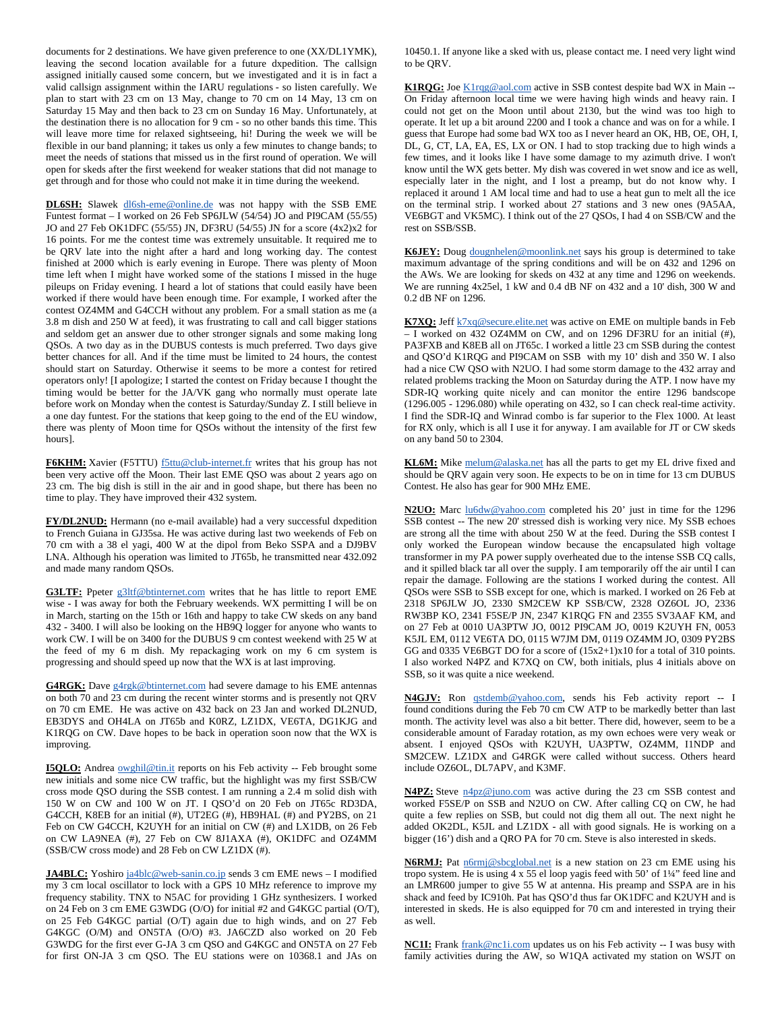documents for 2 destinations. We have given preference to one (XX/DL1YMK), leaving the second location available for a future dxpedition. The callsign assigned initially caused some concern, but we investigated and it is in fact a valid callsign assignment within the IARU regulations - so listen carefully. We plan to start with 23 cm on 13 May, change to 70 cm on 14 May, 13 cm on Saturday 15 May and then back to 23 cm on Sunday 16 May. Unfortunately, at the destination there is no allocation for 9 cm - so no other bands this time. This will leave more time for relaxed sightseeing, hi! During the week we will be flexible in our band planning; it takes us only a few minutes to change bands; to meet the needs of stations that missed us in the first round of operation. We will open for skeds after the first weekend for weaker stations that did not manage to get through and for those who could not make it in time during the weekend.

DL6SH: Slawek dl6sh-eme@online.de was not happy with the SSB EME Funtest format – I worked on 26 Feb SP6JLW (54/54) JO and PI9CAM (55/55) JO and 27 Feb OK1DFC (55/55) JN, DF3RU (54/55) JN for a score (4x2)x2 for 16 points. For me the contest time was extremely unsuitable. It required me to be QRV late into the night after a hard and long working day. The contest finished at 2000 which is early evening in Europe. There was plenty of Moon time left when I might have worked some of the stations I missed in the huge pileups on Friday evening. I heard a lot of stations that could easily have been worked if there would have been enough time. For example, I worked after the contest OZ4MM and G4CCH without any problem. For a small station as me (a 3.8 m dish and 250 W at feed), it was frustrating to call and call bigger stations and seldom get an answer due to other stronger signals and some making long QSOs. A two day as in the DUBUS contests is much preferred. Two days give better chances for all. And if the time must be limited to 24 hours, the contest should start on Saturday. Otherwise it seems to be more a contest for retired operators only! [I apologize; I started the contest on Friday because I thought the timing would be better for the JA/VK gang who normally must operate late before work on Monday when the contest is Saturday/Sunday Z. I still believe in a one day funtest. For the stations that keep going to the end of the EU window, there was plenty of Moon time for QSOs without the intensity of the first few hours].

F6KHM: Xavier (F5TTU) **f5ttu@club-internet.fr** writes that his group has not been very active off the Moon. Their last EME QSO was about 2 years ago on 23 cm. The big dish is still in the air and in good shape, but there has been no time to play. They have improved their 432 system.

**FY/DL2NUD:** Hermann (no e-mail available) had a very successful dxpedition to French Guiana in GJ35sa. He was active during last two weekends of Feb on 70 cm with a 38 el yagi, 400 W at the dipol from Beko SSPA and a DJ9BV LNA. Although his operation was limited to JT65b, he transmitted near 432.092 and made many random QSOs.

G3LTF: Ppeter g3ltf@btinternet.com writes that he has little to report EME wise - I was away for both the February weekends. WX permitting I will be on in March, starting on the 15th or 16th and happy to take CW skeds on any band 432 - 3400. I will also be looking on the HB9Q logger for anyone who wants to work CW. I will be on 3400 for the DUBUS 9 cm contest weekend with 25 W at the feed of my 6 m dish. My repackaging work on my 6 cm system is progressing and should speed up now that the WX is at last improving.

G4RGK: Dave g4rgk@btinternet.com had severe damage to his EME antennas on both 70 and 23 cm during the recent winter storms and is presently not QRV on 70 cm EME. He was active on 432 back on 23 Jan and worked DL2NUD, EB3DYS and OH4LA on JT65b and K0RZ, LZ1DX, VE6TA, DG1KJG and K1RQG on CW. Dave hopes to be back in operation soon now that the WX is improving.

**I5QLO:** Andrea owghil@tin.it reports on his Feb activity -- Feb brought some new initials and some nice CW traffic, but the highlight was my first SSB/CW cross mode QSO during the SSB contest. I am running a 2.4 m solid dish with 150 W on CW and 100 W on JT. I QSO'd on 20 Feb on JT65c RD3DA, G4CCH, K8EB for an initial (#), UT2EG (#), HB9HAL (#) and PY2BS, on 21 Feb on CW G4CCH, K2UYH for an initial on CW (#) and LX1DB, on 26 Feb on CW LA9NEA (#), 27 Feb on CW 8J1AXA (#), OK1DFC and OZ4MM (SSB/CW cross mode) and 28 Feb on CW LZ1DX (#).

**JA4BLC:** Yoshiro ja4blc@web-sanin.co.jp sends 3 cm EME news - I modified my 3 cm local oscillator to lock with a GPS 10 MHz reference to improve my frequency stability. TNX to N5AC for providing 1 GHz synthesizers. I worked on 24 Feb on 3 cm EME G3WDG (O/O) for initial #2 and G4KGC partial (O/T), on 25 Feb G4KGC partial (O/T) again due to high winds, and on 27 Feb G4KGC (O/M) and ON5TA (O/O) #3. JA6CZD also worked on 20 Feb G3WDG for the first ever G-JA 3 cm QSO and G4KGC and ON5TA on 27 Feb for first ON-JA 3 cm QSO. The EU stations were on 10368.1 and JAs on

10450.1. If anyone like a sked with us, please contact me. I need very light wind to be QRV.

**K1RQG:** Joe K1rqg@aol.com active in SSB contest despite bad WX in Main -- On Friday afternoon local time we were having high winds and heavy rain. I could not get on the Moon until about 2130, but the wind was too high to operate. It let up a bit around 2200 and I took a chance and was on for a while. I guess that Europe had some bad WX too as I never heard an OK, HB, OE, OH, I, DL, G, CT, LA, EA, ES, LX or ON. I had to stop tracking due to high winds a few times, and it looks like I have some damage to my azimuth drive. I won't know until the WX gets better. My dish was covered in wet snow and ice as well, especially later in the night, and I lost a preamp, but do not know why. I replaced it around 1 AM local time and had to use a heat gun to melt all the ice on the terminal strip. I worked about 27 stations and 3 new ones (9A5AA, VE6BGT and VK5MC). I think out of the 27 QSOs, I had 4 on SSB/CW and the rest on SSB/SSB.

K6JEY: Doug dougnhelen@moonlink.net says his group is determined to take maximum advantage of the spring conditions and will be on 432 and 1296 on the AWs. We are looking for skeds on 432 at any time and 1296 on weekends. We are running 4x25el, 1 kW and 0.4 dB NF on 432 and a 10' dish, 300 W and 0.2 dB NF on 1296.

K7XO: Jeff **k7xq@secure.elite.net** was active on EME on multiple bands in Feb – I worked on 432 OZ4MM on CW, and on 1296 DF3RU for an initial (#), PA3FXB and K8EB all on JT65c. I worked a little 23 cm SSB during the contest and QSO'd K1RQG and PI9CAM on SSB with my 10' dish and 350 W. I also had a nice CW QSO with N2UO. I had some storm damage to the 432 array and related problems tracking the Moon on Saturday during the ATP. I now have my SDR-IQ working quite nicely and can monitor the entire 1296 bandscope (1296.005 - 1296.080) while operating on 432, so I can check real-time activity. I find the SDR-IQ and Winrad combo is far superior to the Flex 1000. At least for RX only, which is all I use it for anyway. I am available for JT or CW skeds on any band 50 to 2304.

**KL6M:** Mike melum@alaska.net has all the parts to get my EL drive fixed and should be QRV again very soon. He expects to be on in time for 13 cm DUBUS Contest. He also has gear for 900 MHz EME.

**N2UO:** Marc lu6dw@yahoo.com completed his 20' just in time for the 1296 SSB contest -- The new 20' stressed dish is working very nice. My SSB echoes are strong all the time with about 250 W at the feed. During the SSB contest I only worked the European window because the encapsulated high voltage transformer in my PA power supply overheated due to the intense SSB CQ calls, and it spilled black tar all over the supply. I am temporarily off the air until I can repair the damage. Following are the stations I worked during the contest. All QSOs were SSB to SSB except for one, which is marked. I worked on 26 Feb at 2318 SP6JLW JO, 2330 SM2CEW KP SSB/CW, 2328 OZ6OL JO, 2336 RW3BP KO, 2341 F5SE/P JN, 2347 K1RQG FN and 2355 SV3AAF KM, and on 27 Feb at 0010 UA3PTW JO, 0012 PI9CAM JO, 0019 K2UYH FN, 0053 K5JL EM, 0112 VE6TA DO, 0115 W7JM DM, 0119 OZ4MM JO, 0309 PY2BS GG and 0335 VE6BGT DO for a score of  $(15x2+1)x10$  for a total of 310 points. I also worked N4PZ and K7XQ on CW, both initials, plus 4 initials above on SSB, so it was quite a nice weekend.

**N4GJV:** Ron qstdemb@yahoo.com, sends his Feb activity report -- I found conditions during the Feb 70 cm CW ATP to be markedly better than last month. The activity level was also a bit better. There did, however, seem to be a considerable amount of Faraday rotation, as my own echoes were very weak or absent. I enjoyed QSOs with K2UYH, UA3PTW, OZ4MM, I1NDP and SM2CEW. LZ1DX and G4RGK were called without success. Others heard include OZ6OL, DL7APV, and K3MF.

**N4PZ:** Steve n4pz@juno.com was active during the 23 cm SSB contest and worked F5SE/P on SSB and N2UO on CW. After calling CQ on CW, he had quite a few replies on SSB, but could not dig them all out. The next night he added OK2DL, K5JL and LZ1DX - all with good signals. He is working on a bigger (16') dish and a QRO PA for 70 cm. Steve is also interested in skeds.

N6RMJ: Pat n6rmj@sbcglobal.net is a new station on 23 cm EME using his tropo system. He is using 4 x 55 el loop yagis feed with 50' of 1¼" feed line and an LMR600 jumper to give 55 W at antenna. His preamp and SSPA are in his shack and feed by IC910h. Pat has QSO'd thus far OK1DFC and K2UYH and is interested in skeds. He is also equipped for 70 cm and interested in trying their as well.

**NC1I:** Frank frank@nc1i.com updates us on his Feb activity -- I was busy with family activities during the AW, so W1QA activated my station on WSJT on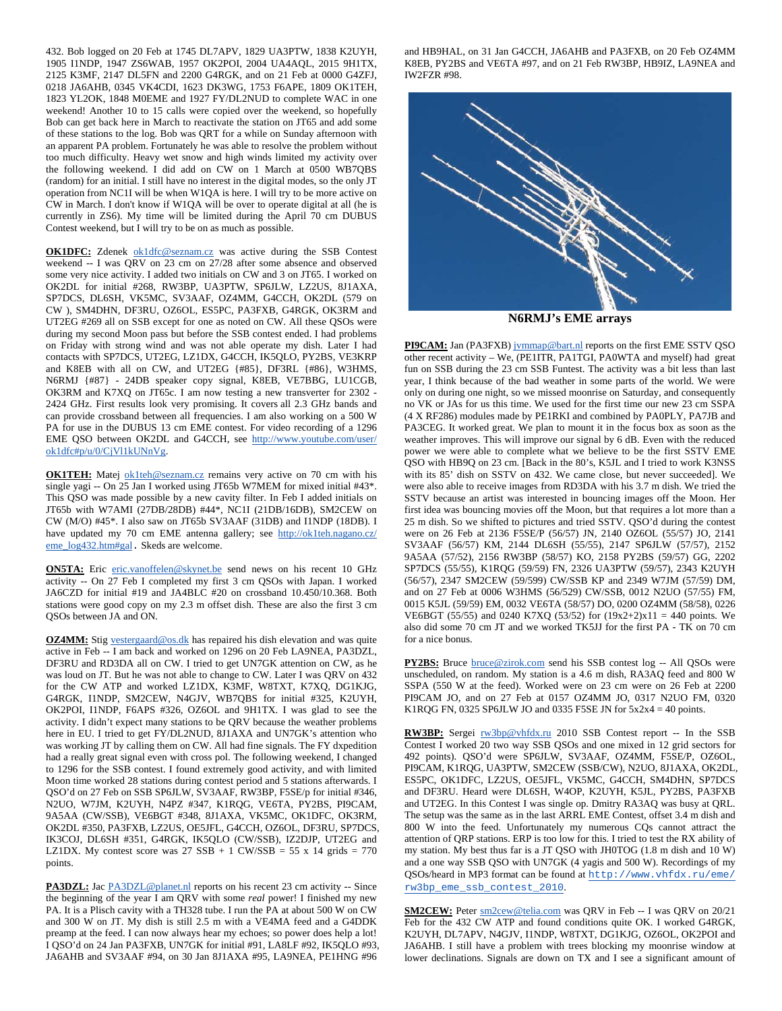432. Bob logged on 20 Feb at 1745 DL7APV, 1829 UA3PTW, 1838 K2UYH, 1905 I1NDP, 1947 ZS6WAB, 1957 OK2POI, 2004 UA4AQL, 2015 9H1TX, 2125 K3MF, 2147 DL5FN and 2200 G4RGK, and on 21 Feb at 0000 G4ZFJ, 0218 JA6AHB, 0345 VK4CDI, 1623 DK3WG, 1753 F6APE, 1809 OK1TEH, 1823 YL2OK, 1848 M0EME and 1927 FY/DL2NUD to complete WAC in one weekend! Another 10 to 15 calls were copied over the weekend, so hopefully Bob can get back here in March to reactivate the station on JT65 and add some of these stations to the log. Bob was QRT for a while on Sunday afternoon with an apparent PA problem. Fortunately he was able to resolve the problem without too much difficulty. Heavy wet snow and high winds limited my activity over the following weekend. I did add on CW on 1 March at 0500 WB7QBS (random) for an initial. I still have no interest in the digital modes, so the only JT operation from NC1I will be when W1QA is here. I will try to be more active on CW in March. I don't know if W1QA will be over to operate digital at all (he is currently in ZS6). My time will be limited during the April 70 cm DUBUS Contest weekend, but I will try to be on as much as possible.

**OK1DFC:** Zdenek ok1dfc@seznam.cz was active during the SSB Contest weekend -- I was QRV on 23 cm on 27/28 after some absence and observed some very nice activity. I added two initials on CW and 3 on JT65. I worked on OK2DL for initial #268, RW3BP, UA3PTW, SP6JLW, LZ2US, 8J1AXA, SP7DCS, DL6SH, VK5MC, SV3AAF, OZ4MM, G4CCH, OK2DL (579 on CW ), SM4DHN, DF3RU, OZ6OL, ES5PC, PA3FXB, G4RGK, OK3RM and UT2EG #269 all on SSB except for one as noted on CW. All these QSOs were during my second Moon pass but before the SSB contest ended. I had problems on Friday with strong wind and was not able operate my dish. Later I had contacts with SP7DCS, UT2EG, LZ1DX, G4CCH, IK5QLO, PY2BS, VE3KRP and K8EB with all on CW, and UT2EG {#85}, DF3RL {#86}, W3HMS, N6RMJ {#87} - 24DB speaker copy signal, K8EB, VE7BBG, LU1CGB, OK3RM and K7XQ on JT65c. I am now testing a new transverter for 2302 - 2424 GHz. First results look very promising. It covers all 2.3 GHz bands and can provide crossband between all frequencies. I am also working on a 500 W PA for use in the DUBUS 13 cm EME contest. For video recording of a 1296 EME QSO between OK2DL and G4CCH, see http://www.youtube.com/user/ ok1dfc#p/u/0/CjVl1kUNnVg.

**OK1TEH:** Matej ok1teh@seznam.cz remains very active on 70 cm with his single yagi -- On 25 Jan I worked using JT65b W7MEM for mixed initial #43\*. This QSO was made possible by a new cavity filter. In Feb I added initials on JT65b with W7AMI (27DB/28DB) #44\*, NC1I (21DB/16DB), SM2CEW on CW (M/O) #45\*. I also saw on JT65b SV3AAF (31DB) and I1NDP (18DB). I have updated my 70 cm EME antenna gallery; see http://ok1teh.nagano.cz/ eme\_log432.htm#gal. Skeds are welcome.

**ON5TA:** Eric eric.vanoffelen@skynet.be send news on his recent 10 GHz activity -- On 27 Feb I completed my first 3 cm QSOs with Japan. I worked JA6CZD for initial #19 and JA4BLC #20 on crossband 10.450/10.368. Both stations were good copy on my 2.3 m offset dish. These are also the first 3 cm QSOs between JA and ON.

**OZ4MM:** Stig vestergaard@os.dk has repaired his dish elevation and was quite active in Feb -- I am back and worked on 1296 on 20 Feb LA9NEA, PA3DZL, DF3RU and RD3DA all on CW. I tried to get UN7GK attention on CW, as he was loud on JT. But he was not able to change to CW. Later I was QRV on 432 for the CW ATP and worked LZ1DX, K3MF, W8TXT, K7XQ, DG1KJG, G4RGK, I1NDP, SM2CEW, N4GJV, WB7QBS for initial #325, K2UYH, OK2POI, I1NDP, F6APS #326, OZ6OL and 9H1TX. I was glad to see the activity. I didn't expect many stations to be QRV because the weather problems here in EU. I tried to get FY/DL2NUD, 8J1AXA and UN7GK's attention who was working JT by calling them on CW. All had fine signals. The FY dxpedition had a really great signal even with cross pol. The following weekend, I changed to 1296 for the SSB contest. I found extremely good activity, and with limited Moon time worked 28 stations during contest period and 5 stations afterwards. I QSO'd on 27 Feb on SSB SP6JLW, SV3AAF, RW3BP, F5SE/p for initial #346, N2UO, W7JM, K2UYH, N4PZ #347, K1RQG, VE6TA, PY2BS, PI9CAM, 9A5AA (CW/SSB), VE6BGT #348, 8J1AXA, VK5MC, OK1DFC, OK3RM, OK2DL #350, PA3FXB, LZ2US, OE5JFL, G4CCH, OZ6OL, DF3RU, SP7DCS, IK3COJ, DL6SH #351, G4RGK, IK5QLO (CW/SSB), IZ2DJP, UT2EG and LZ1DX. My contest score was  $27$  SSB + 1 CW/SSB = 55 x 14 grids = 770 points.

**PA3DZL:** Jac PA3DZL@planet.nl reports on his recent 23 cm activity -- Since the beginning of the year I am QRV with some *real* power! I finished my new PA. It is a Plisch cavity with a TH328 tube. I run the PA at about 500 W on CW and 300 W on JT. My dish is still 2.5 m with a VE4MA feed and a G4DDK preamp at the feed. I can now always hear my echoes; so power does help a lot! I QSO'd on 24 Jan PA3FXB, UN7GK for initial #91, LA8LF #92, IK5QLO #93, JA6AHB and SV3AAF #94, on 30 Jan 8J1AXA #95, LA9NEA, PE1HNG #96

and HB9HAL, on 31 Jan G4CCH, JA6AHB and PA3FXB, on 20 Feb OZ4MM K8EB, PY2BS and VE6TA #97, and on 21 Feb RW3BP, HB9IZ, LA9NEA and IW2FZR #98.



**N6RMJ's EME arrays** 

**PI9CAM:** Jan (PA3FXB) jvmmap@bart.nl reports on the first EME SSTV QSO other recent activity – We, (PE1ITR, PA1TGI, PA0WTA and myself) had great fun on SSB during the 23 cm SSB Funtest. The activity was a bit less than last year, I think because of the bad weather in some parts of the world. We were only on during one night, so we missed moonrise on Saturday, and consequently no VK or JAs for us this time. We used for the first time our new 23 cm SSPA (4 X RF286) modules made by PE1RKI and combined by PA0PLY, PA7JB and PA3CEG. It worked great. We plan to mount it in the focus box as soon as the weather improves. This will improve our signal by 6 dB. Even with the reduced power we were able to complete what we believe to be the first SSTV EME QSO with HB9Q on 23 cm. [Back in the 80's, K5JL and I tried to work K3NSS with its 85' dish on SSTV on 432. We came close, but never succeeded]. We were also able to receive images from RD3DA with his 3.7 m dish. We tried the SSTV because an artist was interested in bouncing images off the Moon. Her first idea was bouncing movies off the Moon, but that requires a lot more than a 25 m dish. So we shifted to pictures and tried SSTV. QSO'd during the contest were on 26 Feb at 2136 F5SE/P (56/57) JN, 2140 OZ6OL (55/57) JO, 2141 SV3AAF (56/57) KM, 2144 DL6SH (55/55), 2147 SP6JLW (57/57), 2152 9A5AA (57/52), 2156 RW3BP (58/57) KO, 2158 PY2BS (59/57) GG, 2202 SP7DCS (55/55), K1RQG (59/59) FN, 2326 UA3PTW (59/57), 2343 K2UYH (56/57), 2347 SM2CEW (59/599) CW/SSB KP and 2349 W7JM (57/59) DM, and on 27 Feb at 0006 W3HMS (56/529) CW/SSB, 0012 N2UO (57/55) FM, 0015 K5JL (59/59) EM, 0032 VE6TA (58/57) DO, 0200 OZ4MM (58/58), 0226 VE6BGT (55/55) and 0240 K7XQ (53/52) for (19x2+2)x11 = 440 points. We also did some 70 cm JT and we worked TK5JJ for the first PA - TK on 70 cm for a nice bonus.

**PY2BS:** Bruce **bruce@zirok.com** send his SSB contest log -- All QSOs were unscheduled, on random. My station is a 4.6 m dish, RA3AQ feed and 800 W SSPA (550 W at the feed). Worked were on 23 cm were on 26 Feb at 2200 PI9CAM JO, and on 27 Feb at 0157 OZ4MM JO, 0317 N2UO FM, 0320 K1RQG FN, 0325 SP6JLW JO and 0335 F5SE JN for 5x2x4 = 40 points.

**RW3BP:** Sergei rw3bp@vhfdx.ru 2010 SSB Contest report -- In the SSB Contest I worked 20 two way SSB QSOs and one mixed in 12 grid sectors for 492 points). QSO'd were SP6JLW, SV3AAF, OZ4MM, F5SE/P, OZ6OL, PI9CAM, K1RQG, UA3PTW, SM2CEW (SSB/CW), N2UO, 8J1AXA, OK2DL, ES5PC, OK1DFC, LZ2US, OE5JFL, VK5MC, G4CCH, SM4DHN, SP7DCS and DF3RU. Heard were DL6SH, W4OP, K2UYH, K5JL, PY2BS, PA3FXB and UT2EG. In this Contest I was single op. Dmitry RA3AQ was busy at QRL. The setup was the same as in the last ARRL EME Contest, offset 3.4 m dish and 800 W into the feed. Unfortunately my numerous CQs cannot attract the attention of QRP stations. ERP is too low for this. I tried to test the RX ability of my station. My best thus far is a JT QSO with JH0TOG (1.8 m dish and 10 W) and a one way SSB QSO with UN7GK (4 yagis and 500 W). Recordings of my QSOs/heard in MP3 format can be found at http://www.vhfdx.ru/eme/ rw3bp\_eme\_ssb\_contest\_2010.

**SM2CEW:** Peter sm2cew@telia.com was QRV in Feb -- I was QRV on 20/21 Feb for the 432 CW ATP and found conditions quite OK. I worked G4RGK, K2UYH, DL7APV, N4GJV, I1NDP, W8TXT, DG1KJG, OZ6OL, OK2POI and JA6AHB. I still have a problem with trees blocking my moonrise window at lower declinations. Signals are down on TX and I see a significant amount of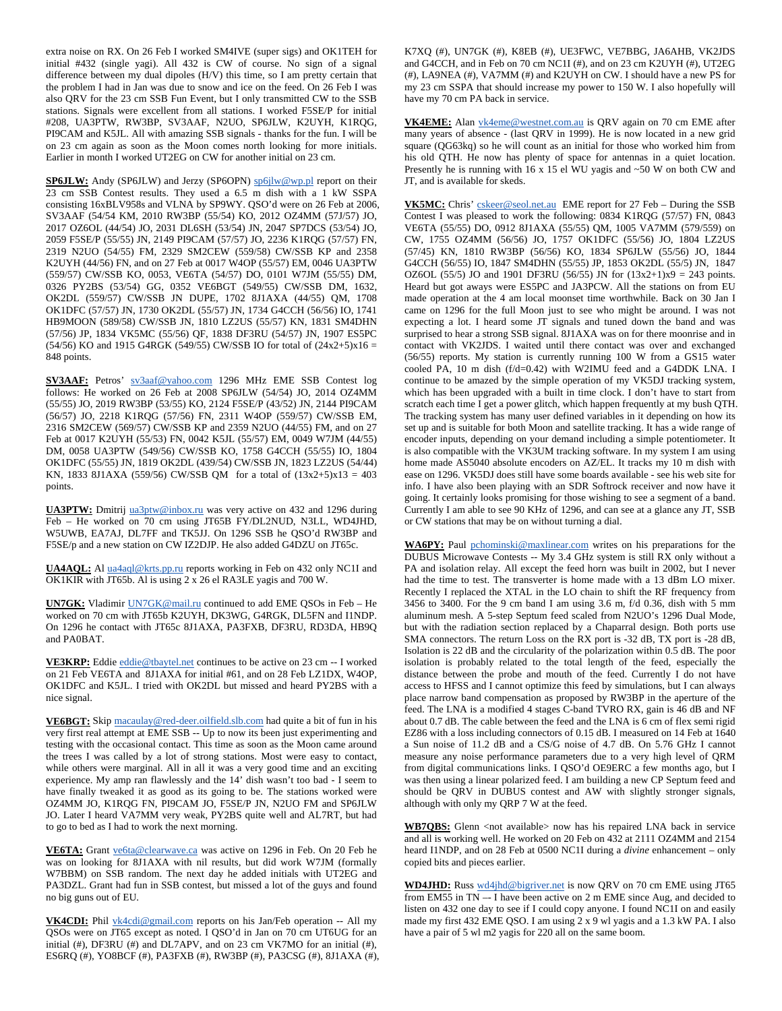extra noise on RX. On 26 Feb I worked SM4IVE (super sigs) and OK1TEH for initial #432 (single yagi). All 432 is CW of course. No sign of a signal difference between my dual dipoles (H/V) this time, so I am pretty certain that the problem I had in Jan was due to snow and ice on the feed. On 26 Feb I was also QRV for the 23 cm SSB Fun Event, but I only transmitted CW to the SSB stations. Signals were excellent from all stations. I worked F5SE/P for initial #208, UA3PTW, RW3BP, SV3AAF, N2UO, SP6JLW, K2UYH, K1RQG, PI9CAM and K5JL. All with amazing SSB signals - thanks for the fun. I will be on 23 cm again as soon as the Moon comes north looking for more initials. Earlier in month I worked UT2EG on CW for another initial on 23 cm.

SP6JLW: Andy (SP6JLW) and Jerzy (SP6OPN) sp6jlw@wp.pl report on their 23 cm SSB Contest results. They used a 6.5 m dish with a 1 kW SSPA consisting 16xBLV958s and VLNA by SP9WY. QSO'd were on 26 Feb at 2006, SV3AAF (54/54 KM, 2010 RW3BP (55/54) KO, 2012 OZ4MM (57J/57) JO, 2017 OZ6OL (44/54) JO, 2031 DL6SH (53/54) JN, 2047 SP7DCS (53/54) JO, 2059 F5SE/P (55/55) JN, 2149 PI9CAM (57/57) JO, 2236 K1RQG (57/57) FN, 2319 N2UO (54/55) FM, 2329 SM2CEW (559/58) CW/SSB KP and 2358 K2UYH (44/56) FN, and on 27 Feb at 0017 W4OP (55/57) EM, 0046 UA3PTW (559/57) CW/SSB KO, 0053, VE6TA (54/57) DO, 0101 W7JM (55/55) DM, 0326 PY2BS (53/54) GG, 0352 VE6BGT (549/55) CW/SSB DM, 1632, OK2DL (559/57) CW/SSB JN DUPE, 1702 8J1AXA (44/55) QM, 1708 OK1DFC (57/57) JN, 1730 OK2DL (55/57) JN, 1734 G4CCH (56/56) IO, 1741 HB9MOON (589/58) CW/SSB JN, 1810 LZ2US (55/57) KN, 1831 SM4DHN (57/56) JP, 1834 VK5MC (55/56) QF, 1838 DF3RU (54/57) JN, 1907 ES5PC (54/56) KO and 1915 G4RGK (549/55) CW/SSB IO for total of  $(24x2+5)x16 =$ 848 points.

**SV3AAF:** Petros' sv3aaf@yahoo.com 1296 MHz EME SSB Contest log follows: He worked on 26 Feb at 2008 SP6JLW (54/54) JO, 2014 OZ4MM (55/55) JO, 2019 RW3BP (53/55) KO, 2124 F5SE/P (43/52) JN, 2144 PI9CAM (56/57) JO, 2218 K1RQG (57/56) FN, 2311 W4OP (559/57) CW/SSB EM, 2316 SM2CEW (569/57) CW/SSB KP and 2359 N2UO (44/55) FM, and on 27 Feb at 0017 K2UYH (55/53) FN, 0042 K5JL (55/57) EM, 0049 W7JM (44/55) DM, 0058 UA3PTW (549/56) CW/SSB KO, 1758 G4CCH (55/55) IO, 1804 OK1DFC (55/55) JN, 1819 OK2DL (439/54) CW/SSB JN, 1823 LZ2US (54/44) KN, 1833 8J1AXA (559/56) CW/SSB QM for a total of  $(13x2+5)x13 = 403$ points.

**UA3PTW:** Dmitrij ua3ptw@inbox.ru was very active on 432 and 1296 during Feb – He worked on 70 cm using JT65B FY/DL2NUD, N3LL, WD4JHD, W5UWB, EA7AJ, DL7FF and TK5JJ. On 1296 SSB he QSO'd RW3BP and F5SE/p and a new station on CW IZ2DJP. He also added G4DZU on JT65c.

**UA4AQL:** Al ua4aql@krts.pp.ru reports working in Feb on 432 only NC1I and OK1KIR with JT65b. Al is using 2 x 26 el RA3LE yagis and 700 W.

**UN7GK:** Vladimir UN7GK@mail.ru continued to add EME QSOs in Feb – He worked on 70 cm with JT65b K2UYH, DK3WG, G4RGK, DL5FN and I1NDP. On 1296 he contact with JT65c 8J1AXA, PA3FXB, DF3RU, RD3DA, HB9Q and PA0BAT.

**VE3KRP:** Eddie eddie@tbaytel.net continues to be active on 23 cm -- I worked on 21 Feb VE6TA and 8J1AXA for initial #61, and on 28 Feb LZ1DX, W4OP, OK1DFC and K5JL. I tried with OK2DL but missed and heard PY2BS with a nice signal.

**VE6BGT:** Skip macaulay@red-deer.oilfield.slb.com had quite a bit of fun in his very first real attempt at EME SSB -- Up to now its been just experimenting and testing with the occasional contact. This time as soon as the Moon came around the trees I was called by a lot of strong stations. Most were easy to contact, while others were marginal. All in all it was a very good time and an exciting experience. My amp ran flawlessly and the 14' dish wasn't too bad - I seem to have finally tweaked it as good as its going to be. The stations worked were OZ4MM JO, K1RQG FN, PI9CAM JO, F5SE/P JN, N2UO FM and SP6JLW JO. Later I heard VA7MM very weak, PY2BS quite well and AL7RT, but had to go to bed as I had to work the next morning.

**VE6TA:** Grant ve6ta@clearwave.ca was active on 1296 in Feb. On 20 Feb he was on looking for 8J1AXA with nil results, but did work W7JM (formally W7BBM) on SSB random. The next day he added initials with UT2EG and PA3DZL. Grant had fun in SSB contest, but missed a lot of the guys and found no big guns out of EU.

**VK4CDI:** Phil vk4cdi@gmail.com reports on his Jan/Feb operation -- All my QSOs were on JT65 except as noted. I QSO'd in Jan on 70 cm UT6UG for an initial (#), DF3RU (#) and DL7APV, and on 23 cm VK7MO for an initial (#), ES6RQ (#), YO8BCF (#), PA3FXB (#), RW3BP (#), PA3CSG (#), 8J1AXA (#), K7XQ (#), UN7GK (#), K8EB (#), UE3FWC, VE7BBG, JA6AHB, VK2JDS and G4CCH, and in Feb on 70 cm NC1I (#), and on 23 cm K2UYH (#), UT2EG (#), LA9NEA (#), VA7MM (#) and K2UYH on CW. I should have a new PS for my 23 cm SSPA that should increase my power to 150 W. I also hopefully will have my 70 cm PA back in service.

**VK4EME:** Alan vk4eme@westnet.com.au is QRV again on 70 cm EME after many years of absence - (last QRV in 1999). He is now located in a new grid square (QG63kq) so he will count as an initial for those who worked him from his old QTH. He now has plenty of space for antennas in a quiet location. Presently he is running with 16 x 15 el WU yagis and ~50 W on both CW and JT, and is available for skeds.

VK5MC: Chris' cskeer@seol.net.au EME report for 27 Feb – During the SSB Contest I was pleased to work the following:  $0834$  K1RQG (57/57) FN, 0843 VE6TA (55/55) DO, 0912 8J1AXA (55/55) QM, 1005 VA7MM (579/559) on CW, 1755 OZ4MM (56/56) JO, 1757 OK1DFC (55/56) JO, 1804 LZ2US (57/45) KN, 1810 RW3BP (56/56) KO, 1834 SP6JLW (55/56) JO, 1844 G4CCH (56/55) IO, 1847 SM4DHN (55/55) JP, 1853 OK2DL (55/5) JN, 1847 OZ6OL (55/5) JO and 1901 DF3RU (56/55) JN for  $(13x2+1)x9 = 243$  points. Heard but got aways were ES5PC and JA3PCW. All the stations on from EU made operation at the 4 am local moonset time worthwhile. Back on 30 Jan I came on 1296 for the full Moon just to see who might be around. I was not expecting a lot. I heard some JT signals and tuned down the band and was surprised to hear a strong SSB signal. 8J1AXA was on for there moonrise and in contact with VK2JDS. I waited until there contact was over and exchanged (56/55) reports. My station is currently running 100 W from a GS15 water cooled PA, 10 m dish (f/d=0.42) with W2IMU feed and a G4DDK LNA. I continue to be amazed by the simple operation of my VK5DJ tracking system, which has been upgraded with a built in time clock. I don't have to start from scratch each time I get a power glitch, which happen frequently at my bush QTH. The tracking system has many user defined variables in it depending on how its set up and is suitable for both Moon and satellite tracking. It has a wide range of encoder inputs, depending on your demand including a simple potentiometer. It is also compatible with the VK3UM tracking software. In my system I am using home made AS5040 absolute encoders on AZ/EL. It tracks my 10 m dish with ease on 1296. VK5DJ does still have some boards available - see his web site for info. I have also been playing with an SDR Softrock receiver and now have it going. It certainly looks promising for those wishing to see a segment of a band. Currently I am able to see 90 KHz of 1296, and can see at a glance any JT, SSB or CW stations that may be on without turning a dial.

WA6PY: Paul pchominski@maxlinear.com writes on his preparations for the DUBUS Microwave Contests -- My 3.4 GHz system is still RX only without a PA and isolation relay. All except the feed horn was built in 2002, but I never had the time to test. The transverter is home made with a 13 dBm LO mixer. Recently I replaced the XTAL in the LO chain to shift the RF frequency from 3456 to 3400. For the 9 cm band I am using 3.6 m, f/d 0.36, dish with 5 mm aluminum mesh. A 5-step Septum feed scaled from N2UO's 1296 Dual Mode, but with the radiation section replaced by a Chaparral design. Both ports use SMA connectors. The return Loss on the RX port is -32 dB, TX port is -28 dB, Isolation is 22 dB and the circularity of the polarization within 0.5 dB. The poor isolation is probably related to the total length of the feed, especially the distance between the probe and mouth of the feed. Currently I do not have access to HFSS and I cannot optimize this feed by simulations, but I can always place narrow band compensation as proposed by RW3BP in the aperture of the feed. The LNA is a modified 4 stages C-band TVRO RX, gain is 46 dB and NF about 0.7 dB. The cable between the feed and the LNA is 6 cm of flex semi rigid EZ86 with a loss including connectors of 0.15 dB. I measured on 14 Feb at 1640 a Sun noise of 11.2 dB and a CS/G noise of 4.7 dB. On 5.76 GHz I cannot measure any noise performance parameters due to a very high level of QRM from digital communications links. I QSO'd OE9ERC a few months ago, but I was then using a linear polarized feed. I am building a new CP Septum feed and should be QRV in DUBUS contest and AW with slightly stronger signals, although with only my QRP 7 W at the feed.

**WB7QBS:** Glenn <not available> now has his repaired LNA back in service and all is working well. He worked on 20 Feb on 432 at 2111 OZ4MM and 2154 heard I1NDP, and on 28 Feb at 0500 NC1I during a *divine* enhancement – only copied bits and pieces earlier.

**WD4JHD:** Russ wd4jhd@bigriver.net is now QRV on 70 cm EME using JT65 from EM55 in TN –- I have been active on 2 m EME since Aug, and decided to listen on 432 one day to see if I could copy anyone. I found NC1I on and easily made my first 432 EME QSO. I am using 2 x 9 wl yagis and a 1.3 kW PA. I also have a pair of 5 wl m2 yagis for 220 all on the same boom.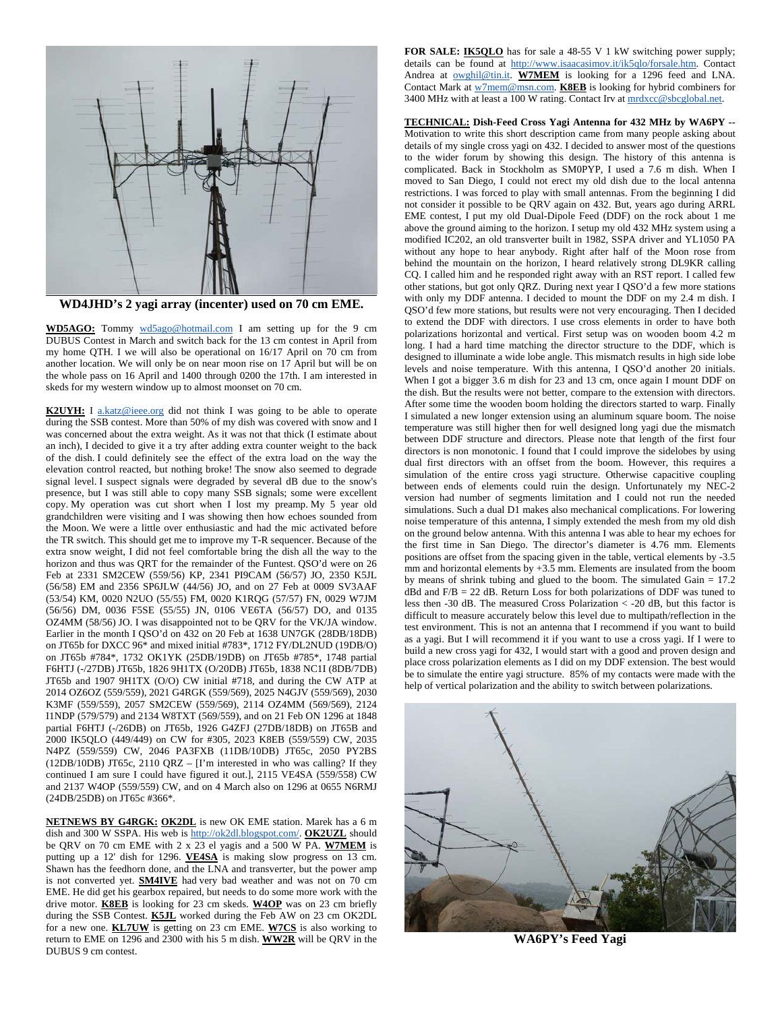

**WD4JHD's 2 yagi array (incenter) used on 70 cm EME.** 

**WD5AGO:** Tommy wd5ago@hotmail.com I am setting up for the 9 cm DUBUS Contest in March and switch back for the 13 cm contest in April from my home QTH. I we will also be operational on 16/17 April on 70 cm from another location. We will only be on near moon rise on 17 April but will be on the whole pass on 16 April and 1400 through 0200 the 17th. I am interested in skeds for my western window up to almost moonset on 70 cm.

**K2UYH:** I a.katz@ieee.org did not think I was going to be able to operate during the SSB contest. More than 50% of my dish was covered with snow and I was concerned about the extra weight. As it was not that thick (I estimate about an inch), I decided to give it a try after adding extra counter weight to the back of the dish. I could definitely see the effect of the extra load on the way the elevation control reacted, but nothing broke! The snow also seemed to degrade signal level. I suspect signals were degraded by several dB due to the snow's presence, but I was still able to copy many SSB signals; some were excellent copy. My operation was cut short when I lost my preamp. My 5 year old grandchildren were visiting and I was showing then how echoes sounded from the Moon. We were a little over enthusiastic and had the mic activated before the TR switch. This should get me to improve my T-R sequencer. Because of the extra snow weight, I did not feel comfortable bring the dish all the way to the horizon and thus was QRT for the remainder of the Funtest. QSO'd were on 26 Feb at 2331 SM2CEW (559/56) KP, 2341 PI9CAM (56/57) JO, 2350 K5JL (56/58) EM and 2356 SP6JLW (44/56) JO, and on 27 Feb at 0009 SV3AAF (53/54) KM, 0020 N2UO (55/55) FM, 0020 K1RQG (57/57) FN, 0029 W7JM (56/56) DM, 0036 F5SE (55/55) JN, 0106 VE6TA (56/57) DO, and 0135 OZ4MM (58/56) JO. I was disappointed not to be QRV for the VK/JA window. Earlier in the month I QSO'd on 432 on 20 Feb at 1638 UN7GK (28DB/18DB) on JT65b for DXCC 96\* and mixed initial #783\*, 1712 FY/DL2NUD (19DB/O) on JT65b #784\*, 1732 OK1YK (25DB/19DB) on JT65b #785\*, 1748 partial F6HTJ (-/27DB) JT65b, 1826 9H1TX (O/20DB) JT65b, 1838 NC1I (8DB/7DB) JT65b and 1907 9H1TX (O/O) CW initial #718, and during the CW ATP at 2014 OZ6OZ (559/559), 2021 G4RGK (559/569), 2025 N4GJV (559/569), 2030 K3MF (559/559), 2057 SM2CEW (559/569), 2114 OZ4MM (569/569), 2124 I1NDP (579/579) and 2134 W8TXT (569/559), and on 21 Feb ON 1296 at 1848 partial F6HTJ (-/26DB) on JT65b, 1926 G4ZFJ (27DB/18DB) on JT65B and 2000 IK5QLO (449/449) on CW for #305, 2023 K8EB (559/559) CW, 2035 N4PZ (559/559) CW, 2046 PA3FXB (11DB/10DB) JT65c, 2050 PY2BS (12DB/10DB) JT65c, 2110 QRZ – [I'm interested in who was calling? If they continued I am sure I could have figured it out.], 2115 VE4SA (559/558) CW and 2137 W4OP (559/559) CW, and on 4 March also on 1296 at 0655 N6RMJ (24DB/25DB) on JT65c #366\*.

**NETNEWS BY G4RGK: OK2DL** is new OK EME station. Marek has a 6 m dish and 300 W SSPA. His web is http://ok2dl.blogspot.com/. **OK2UZL** should be QRV on 70 cm EME with 2 x 23 el yagis and a 500 W PA. **W7MEM** is putting up a 12' dish for 1296. **VE4SA** is making slow progress on 13 cm. Shawn has the feedhorn done, and the LNA and transverter, but the power amp is not converted yet. **SM4IVE** had very bad weather and was not on 70 cm EME. He did get his gearbox repaired, but needs to do some more work with the drive motor. **K8EB** is looking for 23 cm skeds. **W4OP** was on 23 cm briefly during the SSB Contest. **K5JL** worked during the Feb AW on 23 cm OK2DL for a new one. **KL7UW** is getting on 23 cm EME. **W7CS** is also working to return to EME on 1296 and 2300 with his 5 m dish. **WW2R** will be QRV in the DUBUS 9 cm contest.

**FOR SALE: IK5QLO** has for sale a 48-55 V 1 kW switching power supply; details can be found at http://www.isaacasimov.it/ik5qlo/forsale.htm. Contact Andrea at **owghil@tin.it. W7MEM** is looking for a 1296 feed and LNA. Contact Mark at w7mem@msn.com. **K8EB** is looking for hybrid combiners for 3400 MHz with at least a 100 W rating. Contact Irv at mrdxcc@sbcglobal.net.

**TECHNICAL: Dish-Feed Cross Yagi Antenna for 432 MHz by WA6PY --**  Motivation to write this short description came from many people asking about details of my single cross yagi on 432. I decided to answer most of the questions to the wider forum by showing this design. The history of this antenna is complicated. Back in Stockholm as SM0PYP, I used a 7.6 m dish. When I moved to San Diego, I could not erect my old dish due to the local antenna restrictions. I was forced to play with small antennas. From the beginning I did not consider it possible to be QRV again on 432. But, years ago during ARRL EME contest, I put my old Dual-Dipole Feed (DDF) on the rock about 1 me above the ground aiming to the horizon. I setup my old 432 MHz system using a modified IC202, an old transverter built in 1982, SSPA driver and YL1050 PA without any hope to hear anybody. Right after half of the Moon rose from behind the mountain on the horizon, I heard relatively strong DL9KR calling CQ. I called him and he responded right away with an RST report. I called few other stations, but got only QRZ. During next year I QSO'd a few more stations with only my DDF antenna. I decided to mount the DDF on my 2.4 m dish. I QSO'd few more stations, but results were not very encouraging. Then I decided to extend the DDF with directors. I use cross elements in order to have both polarizations horizontal and vertical. First setup was on wooden boom 4.2 m long. I had a hard time matching the director structure to the DDF, which is designed to illuminate a wide lobe angle. This mismatch results in high side lobe levels and noise temperature. With this antenna, I QSO'd another 20 initials. When I got a bigger 3.6 m dish for 23 and 13 cm, once again I mount DDF on the dish. But the results were not better, compare to the extension with directors. After some time the wooden boom holding the directors started to warp. Finally I simulated a new longer extension using an aluminum square boom. The noise temperature was still higher then for well designed long yagi due the mismatch between DDF structure and directors. Please note that length of the first four directors is non monotonic. I found that I could improve the sidelobes by using dual first directors with an offset from the boom. However, this requires a simulation of the entire cross yagi structure. Otherwise capacitive coupling between ends of elements could ruin the design. Unfortunately my NEC-2 version had number of segments limitation and I could not run the needed simulations. Such a dual D1 makes also mechanical complications. For lowering noise temperature of this antenna, I simply extended the mesh from my old dish on the ground below antenna. With this antenna I was able to hear my echoes for the first time in San Diego. The director's diameter is 4.76 mm. Elements positions are offset from the spacing given in the table, vertical elements by -3.5 mm and horizontal elements by +3.5 mm. Elements are insulated from the boom by means of shrink tubing and glued to the boom. The simulated Gain = 17.2  $dBd$  and  $F/B = 22$  dB. Return Loss for both polarizations of DDF was tuned to less then -30 dB. The measured Cross Polarization < -20 dB, but this factor is difficult to measure accurately below this level due to multipath/reflection in the test environment. This is not an antenna that I recommend if you want to build as a yagi. But I will recommend it if you want to use a cross yagi. If I were to build a new cross yagi for 432, I would start with a good and proven design and place cross polarization elements as I did on my DDF extension. The best would be to simulate the entire yagi structure. 85% of my contacts were made with the help of vertical polarization and the ability to switch between polarizations.



**WA6PY's Feed Yagi**